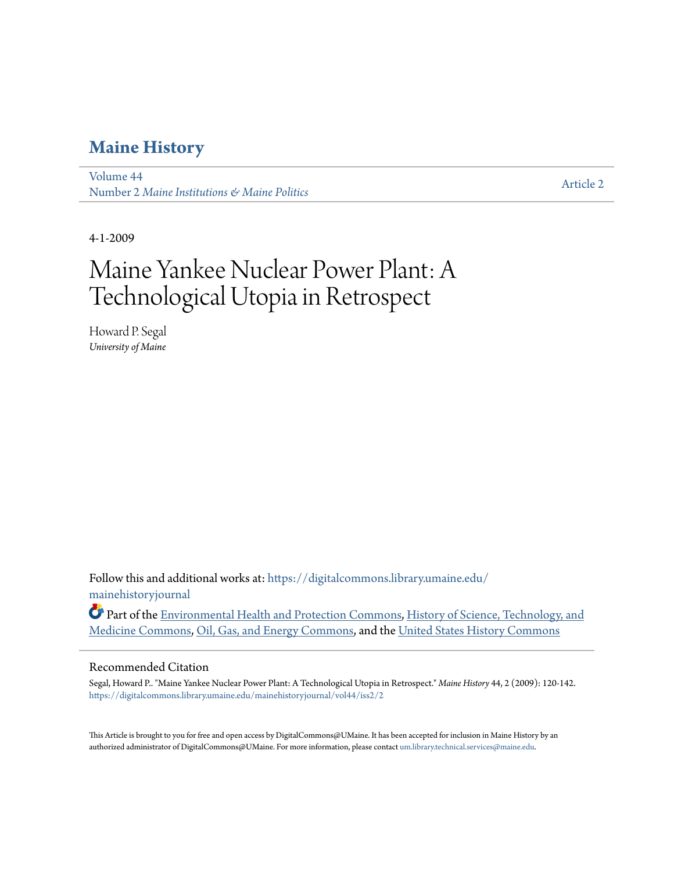### **[Maine History](https://digitalcommons.library.umaine.edu/mainehistoryjournal?utm_source=digitalcommons.library.umaine.edu%2Fmainehistoryjournal%2Fvol44%2Fiss2%2F2&utm_medium=PDF&utm_campaign=PDFCoverPages)**

[Volume 44](https://digitalcommons.library.umaine.edu/mainehistoryjournal/vol44?utm_source=digitalcommons.library.umaine.edu%2Fmainehistoryjournal%2Fvol44%2Fiss2%2F2&utm_medium=PDF&utm_campaign=PDFCoverPages) Number 2 *[Maine Institutions & Maine Politics](https://digitalcommons.library.umaine.edu/mainehistoryjournal/vol44/iss2?utm_source=digitalcommons.library.umaine.edu%2Fmainehistoryjournal%2Fvol44%2Fiss2%2F2&utm_medium=PDF&utm_campaign=PDFCoverPages)*

[Article 2](https://digitalcommons.library.umaine.edu/mainehistoryjournal/vol44/iss2/2?utm_source=digitalcommons.library.umaine.edu%2Fmainehistoryjournal%2Fvol44%2Fiss2%2F2&utm_medium=PDF&utm_campaign=PDFCoverPages)

4-1-2009

# Maine Yankee Nuclear Power Plant: A Technological Utopia in Retrospect

Howard P. Segal *University of Maine*

Follow this and additional works at: [https://digitalcommons.library.umaine.edu/](https://digitalcommons.library.umaine.edu/mainehistoryjournal?utm_source=digitalcommons.library.umaine.edu%2Fmainehistoryjournal%2Fvol44%2Fiss2%2F2&utm_medium=PDF&utm_campaign=PDFCoverPages) [mainehistoryjournal](https://digitalcommons.library.umaine.edu/mainehistoryjournal?utm_source=digitalcommons.library.umaine.edu%2Fmainehistoryjournal%2Fvol44%2Fiss2%2F2&utm_medium=PDF&utm_campaign=PDFCoverPages)

Part of the [Environmental Health and Protection Commons,](http://network.bepress.com/hgg/discipline/172?utm_source=digitalcommons.library.umaine.edu%2Fmainehistoryjournal%2Fvol44%2Fiss2%2F2&utm_medium=PDF&utm_campaign=PDFCoverPages) [History of Science, Technology, and](http://network.bepress.com/hgg/discipline/500?utm_source=digitalcommons.library.umaine.edu%2Fmainehistoryjournal%2Fvol44%2Fiss2%2F2&utm_medium=PDF&utm_campaign=PDFCoverPages) [Medicine Commons,](http://network.bepress.com/hgg/discipline/500?utm_source=digitalcommons.library.umaine.edu%2Fmainehistoryjournal%2Fvol44%2Fiss2%2F2&utm_medium=PDF&utm_campaign=PDFCoverPages) [Oil, Gas, and Energy Commons](http://network.bepress.com/hgg/discipline/171?utm_source=digitalcommons.library.umaine.edu%2Fmainehistoryjournal%2Fvol44%2Fiss2%2F2&utm_medium=PDF&utm_campaign=PDFCoverPages), and the [United States History Commons](http://network.bepress.com/hgg/discipline/495?utm_source=digitalcommons.library.umaine.edu%2Fmainehistoryjournal%2Fvol44%2Fiss2%2F2&utm_medium=PDF&utm_campaign=PDFCoverPages)

#### Recommended Citation

Segal, Howard P.. "Maine Yankee Nuclear Power Plant: A Technological Utopia in Retrospect." *Maine History* 44, 2 (2009): 120-142. [https://digitalcommons.library.umaine.edu/mainehistoryjournal/vol44/iss2/2](https://digitalcommons.library.umaine.edu/mainehistoryjournal/vol44/iss2/2?utm_source=digitalcommons.library.umaine.edu%2Fmainehistoryjournal%2Fvol44%2Fiss2%2F2&utm_medium=PDF&utm_campaign=PDFCoverPages)

This Article is brought to you for free and open access by DigitalCommons@UMaine. It has been accepted for inclusion in Maine History by an authorized administrator of DigitalCommons@UMaine. For more information, please contact [um.library.technical.services@maine.edu.](mailto:um.library.technical.services@maine.edu)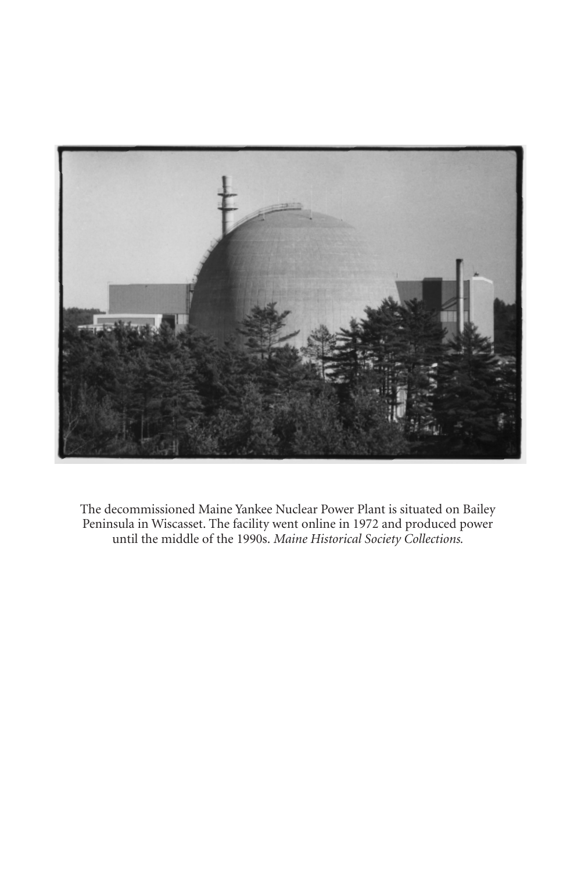

The decommissioned Maine Yankee Nuclear Power Plant is situated on Bailey Peninsula in Wiscasset. The facility went online in 1972 and produced power until the middle of the 1990s. *Maine Historical Society Collections.*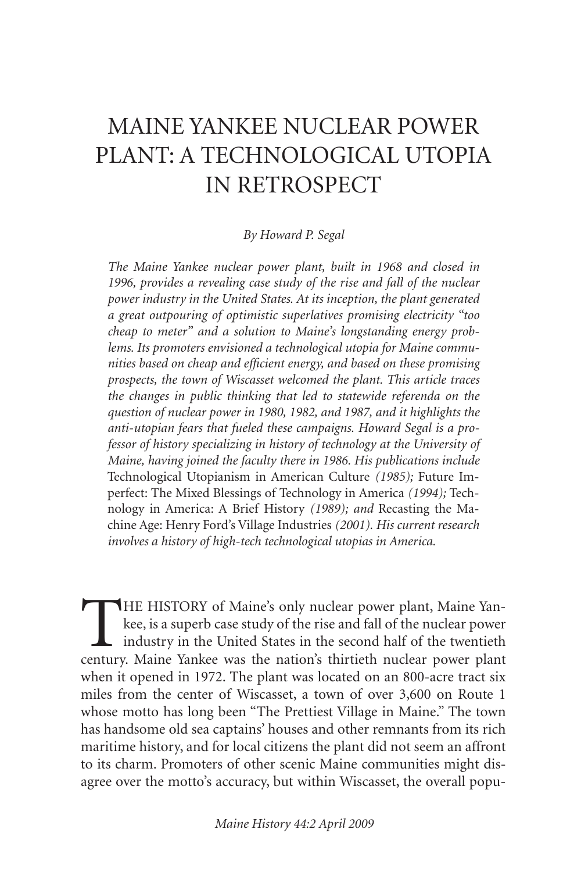## MAINE YANKEE NUCLEAR POWER PLANT: A TECHNOLOGICAL UTOPIA IN RETROSPECT

#### *By Howard P. Segal*

*The Maine Yankee nuclear power plant, built in 1968 and closed in 1996, provides a revealing case study of the rise and fall of the nuclear power industry in the United States. At its inception, the plant generated a great outpouring of optimistic superlatives promising electricity "too cheap to meter" and a solution to Maine's longstanding energy problems. Its promoters envisioned a technological utopia for Maine communities based on cheap and efficient energy, and based on these promising prospects, the town of Wiscasset welcomed the plant. This article traces the changes in public thinking that led to statewide referenda on the question of nuclear power in 1980, 1982, and 1987, and it highlights the anti-utopian fears that fueled these campaigns. Howard Segal is a professor of history specializing in history of technology at the University of Maine, having joined the faculty there in 1986. His publications include* Technological Utopianism in American Culture *(1985);* Future Imperfect: The Mixed Blessings of Technology in America *(1994);* Technology in America: A Brief History *(1989); and* Recasting the Machine Age: Henry Ford's Village Industries *(2001). His current research involves a history of high-tech technological utopias in America.*

THE HISTORY of Maine's only nuclear power plant, Maine Yan-<br>kee, is a superb case study of the rise and fall of the nuclear power<br>industry in the United States in the second half of the twentieth<br>century. Maine Yankee was kee, is a superb case study of the rise and fall of the nuclear power industry in the United States in the second half of the twentieth century. Maine Yankee was the nation's thirtieth nuclear power plant when it opened in 1972. The plant was located on an 800-acre tract six miles from the center of Wiscasset, a town of over 3,600 on Route 1 whose motto has long been "The Prettiest Village in Maine." The town has handsome old sea captains' houses and other remnants from its rich maritime history, and for local citizens the plant did not seem an affront to its charm. Promoters of other scenic Maine communities might disagree over the motto's accuracy, but within Wiscasset, the overall popu-

*Maine History 44:2 April 2009*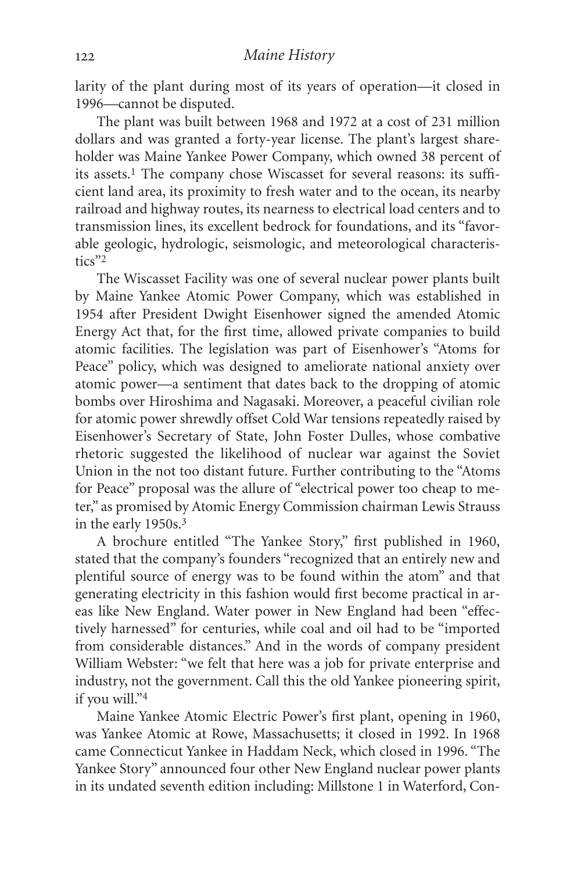larity of the plant during most of its years of operation—it closed in 1996—cannot be disputed.

The plant was built between 1968 and 1972 at a cost of 231 million dollars and was granted a forty-year license. The plant's largest shareholder was Maine Yankee Power Company, which owned 38 percent of its assets.<sup>1</sup> The company chose Wiscasset for several reasons: its sufficient land area, its proximity to fresh water and to the ocean, its nearby railroad and highway routes, its nearness to electrical load centers and to transmission lines, its excellent bedrock for foundations, and its "favorable geologic, hydrologic, seismologic, and meteorological characteristics"2

The Wiscasset Facility was one of several nuclear power plants built by Maine Yankee Atomic Power Company, which was established in 1954 after President Dwight Eisenhower signed the amended Atomic Energy Act that, for the first time, allowed private companies to build atomic facilities. The legislation was part of Eisenhower's "Atoms for Peace" policy, which was designed to ameliorate national anxiety over atomic power—a sentiment that dates back to the dropping of atomic bombs over Hiroshima and Nagasaki. Moreover, a peaceful civilian role for atomic power shrewdly offset Cold War tensions repeatedly raised by Eisenhower's Secretary of State, John Foster Dulles, whose combative rhetoric suggested the likelihood of nuclear war against the Soviet Union in the not too distant future. Further contributing to the "Atoms for Peace" proposal was the allure of "electrical power too cheap to meter," as promised by Atomic Energy Commission chairman Lewis Strauss in the early 1950s.3

A brochure entitled "The Yankee Story," first published in 1960, stated that the company's founders "recognized that an entirely new and plentiful source of energy was to be found within the atom" and that generating electricity in this fashion would first become practical in areas like New England. Water power in New England had been "effectively harnessed" for centuries, while coal and oil had to be "imported from considerable distances." And in the words of company president William Webster: "we felt that here was a job for private enterprise and industry, not the government. Call this the old Yankee pioneering spirit, if you will."4

Maine Yankee Atomic Electric Power's first plant, opening in 1960, was Yankee Atomic at Rowe, Massachusetts; it closed in 1992. In 1968 came Connecticut Yankee in Haddam Neck, which closed in 1996. "The Yankee Story" announced four other New England nuclear power plants in its undated seventh edition including: Millstone 1 in Waterford, Con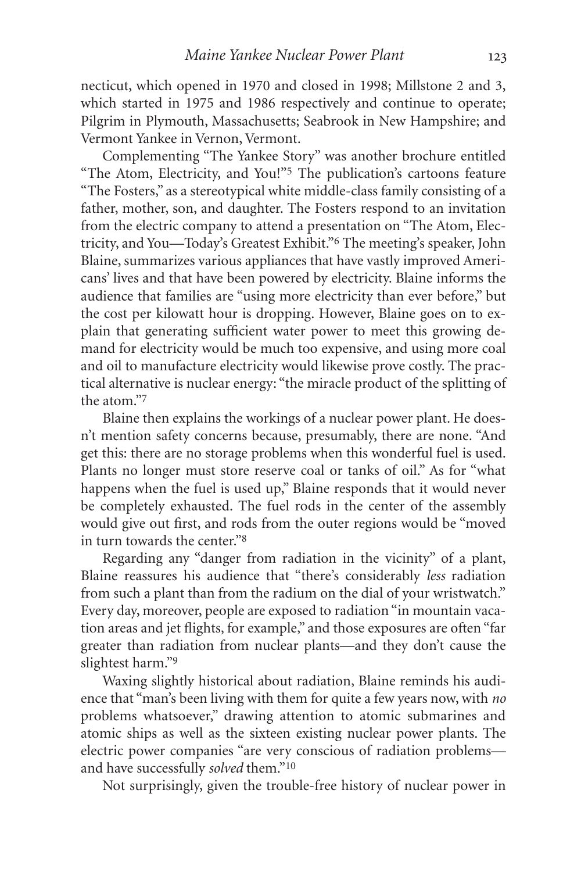necticut, which opened in 1970 and closed in 1998; Millstone 2 and 3, which started in 1975 and 1986 respectively and continue to operate; Pilgrim in Plymouth, Massachusetts; Seabrook in New Hampshire; and Vermont Yankee in Vernon, Vermont.

Complementing "The Yankee Story" was another brochure entitled "The Atom, Electricity, and You!"5 The publication's cartoons feature "The Fosters," as a stereotypical white middle-class family consisting of a father, mother, son, and daughter. The Fosters respond to an invitation from the electric company to attend a presentation on "The Atom, Electricity, and You—Today's Greatest Exhibit."6 The meeting's speaker, John Blaine, summarizes various appliances that have vastly improved Americans' lives and that have been powered by electricity. Blaine informs the audience that families are "using more electricity than ever before," but the cost per kilowatt hour is dropping. However, Blaine goes on to explain that generating sufficient water power to meet this growing demand for electricity would be much too expensive, and using more coal and oil to manufacture electricity would likewise prove costly. The practical alternative is nuclear energy: "the miracle product of the splitting of the atom."7

Blaine then explains the workings of a nuclear power plant. He doesn't mention safety concerns because, presumably, there are none. "And get this: there are no storage problems when this wonderful fuel is used. Plants no longer must store reserve coal or tanks of oil." As for "what happens when the fuel is used up," Blaine responds that it would never be completely exhausted. The fuel rods in the center of the assembly would give out first, and rods from the outer regions would be "moved in turn towards the center."8

Regarding any "danger from radiation in the vicinity" of a plant, Blaine reassures his audience that "there's considerably *less* radiation from such a plant than from the radium on the dial of your wristwatch." Every day, moreover, people are exposed to radiation "in mountain vacation areas and jet flights, for example," and those exposures are often "far greater than radiation from nuclear plants—and they don't cause the slightest harm."9

Waxing slightly historical about radiation, Blaine reminds his audience that "man's been living with them for quite a few years now, with *no* problems whatsoever," drawing attention to atomic submarines and atomic ships as well as the sixteen existing nuclear power plants. The electric power companies "are very conscious of radiation problems and have successfully *solved* them."10

Not surprisingly, given the trouble-free history of nuclear power in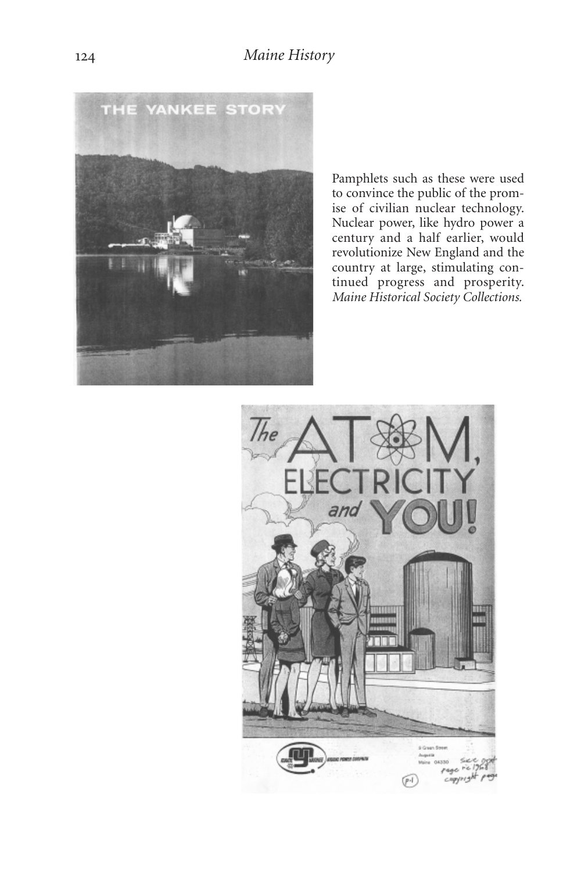

Pamphlets such as these were used to convince the public of the promise of civilian nuclear technology. Nuclear power, like hydro power a century and a half earlier, would revolutionize New England and the country at large, stimulating continued progress and prosperity. *Maine Historical Society Collections.*

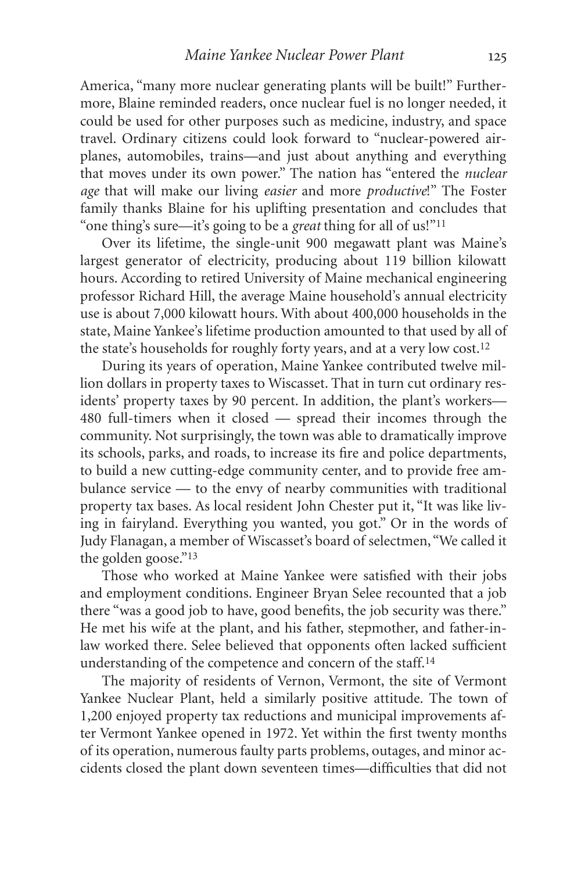America, "many more nuclear generating plants will be built!" Furthermore, Blaine reminded readers, once nuclear fuel is no longer needed, it could be used for other purposes such as medicine, industry, and space travel. Ordinary citizens could look forward to "nuclear-powered airplanes, automobiles, trains—and just about anything and everything that moves under its own power." The nation has "entered the *nuclear age* that will make our living *easier* and more *productive*!" The Foster family thanks Blaine for his uplifting presentation and concludes that "one thing's sure—it's going to be a *great* thing for all of us!"11

Over its lifetime, the single-unit 900 megawatt plant was Maine's largest generator of electricity, producing about 119 billion kilowatt hours. According to retired University of Maine mechanical engineering professor Richard Hill, the average Maine household's annual electricity use is about 7,000 kilowatt hours. With about 400,000 households in the state, Maine Yankee's lifetime production amounted to that used by all of the state's households for roughly forty years, and at a very low cost.12

During its years of operation, Maine Yankee contributed twelve million dollars in property taxes to Wiscasset. That in turn cut ordinary residents' property taxes by 90 percent. In addition, the plant's workers— 480 full-timers when it closed — spread their incomes through the community. Not surprisingly, the town was able to dramatically improve its schools, parks, and roads, to increase its fire and police departments, to build a new cutting-edge community center, and to provide free ambulance service — to the envy of nearby communities with traditional property tax bases. As local resident John Chester put it, "It was like living in fairyland. Everything you wanted, you got." Or in the words of Judy Flanagan, a member of Wiscasset's board of selectmen, "We called it the golden goose."13

Those who worked at Maine Yankee were satisfied with their jobs and employment conditions. Engineer Bryan Selee recounted that a job there "was a good job to have, good benefits, the job security was there." He met his wife at the plant, and his father, stepmother, and father-inlaw worked there. Selee believed that opponents often lacked sufficient understanding of the competence and concern of the staff.14

The majority of residents of Vernon, Vermont, the site of Vermont Yankee Nuclear Plant, held a similarly positive attitude. The town of 1,200 enjoyed property tax reductions and municipal improvements after Vermont Yankee opened in 1972. Yet within the first twenty months of its operation, numerous faulty parts problems, outages, and minor accidents closed the plant down seventeen times—difficulties that did not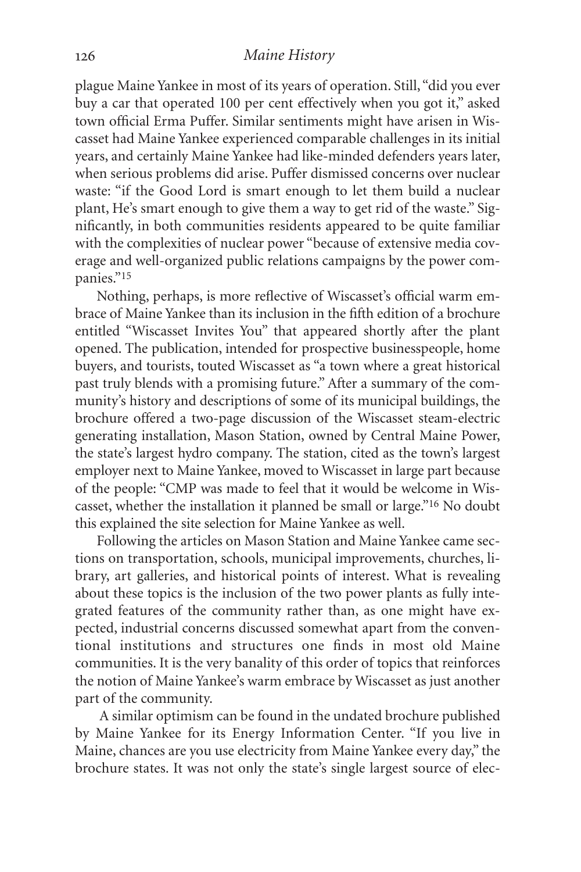plague Maine Yankee in most of its years of operation. Still, "did you ever buy a car that operated 100 per cent effectively when you got it," asked town official Erma Puffer. Similar sentiments might have arisen in Wiscasset had Maine Yankee experienced comparable challenges in its initial years, and certainly Maine Yankee had like-minded defenders years later, when serious problems did arise. Puffer dismissed concerns over nuclear waste: "if the Good Lord is smart enough to let them build a nuclear plant, He's smart enough to give them a way to get rid of the waste." Significantly, in both communities residents appeared to be quite familiar with the complexities of nuclear power "because of extensive media coverage and well-organized public relations campaigns by the power companies."15

Nothing, perhaps, is more reflective of Wiscasset's official warm embrace of Maine Yankee than its inclusion in the fifth edition of a brochure entitled "Wiscasset Invites You" that appeared shortly after the plant opened. The publication, intended for prospective businesspeople, home buyers, and tourists, touted Wiscasset as "a town where a great historical past truly blends with a promising future." After a summary of the community's history and descriptions of some of its municipal buildings, the brochure offered a two-page discussion of the Wiscasset steam-electric generating installation, Mason Station, owned by Central Maine Power, the state's largest hydro company. The station, cited as the town's largest employer next to Maine Yankee, moved to Wiscasset in large part because of the people: "CMP was made to feel that it would be welcome in Wiscasset, whether the installation it planned be small or large."16 No doubt this explained the site selection for Maine Yankee as well.

Following the articles on Mason Station and Maine Yankee came sections on transportation, schools, municipal improvements, churches, library, art galleries, and historical points of interest. What is revealing about these topics is the inclusion of the two power plants as fully integrated features of the community rather than, as one might have expected, industrial concerns discussed somewhat apart from the conventional institutions and structures one finds in most old Maine communities. It is the very banality of this order of topics that reinforces the notion of Maine Yankee's warm embrace by Wiscasset as just another part of the community.

A similar optimism can be found in the undated brochure published by Maine Yankee for its Energy Information Center. "If you live in Maine, chances are you use electricity from Maine Yankee every day," the brochure states. It was not only the state's single largest source of elec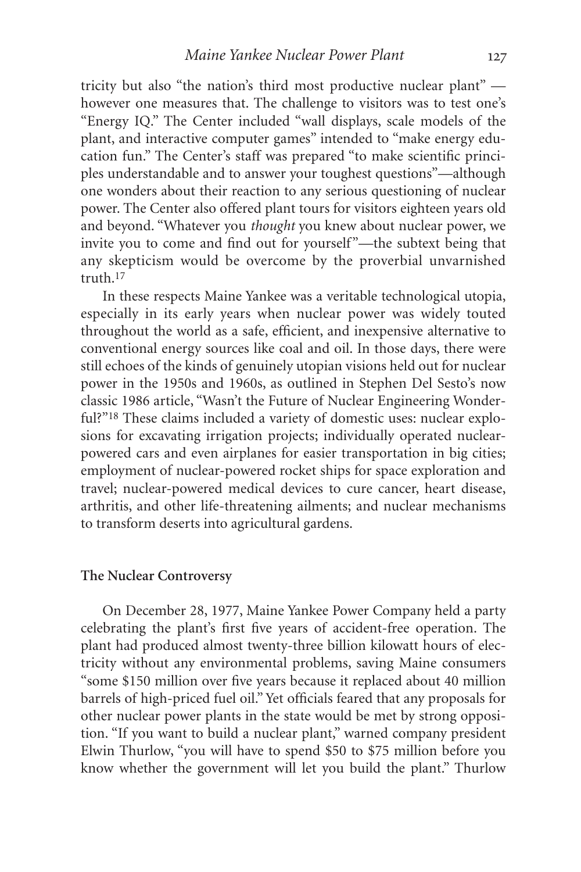tricity but also "the nation's third most productive nuclear plant" however one measures that. The challenge to visitors was to test one's "Energy IQ." The Center included "wall displays, scale models of the plant, and interactive computer games" intended to "make energy education fun." The Center's staff was prepared "to make scientific principles understandable and to answer your toughest questions"—although one wonders about their reaction to any serious questioning of nuclear power. The Center also offered plant tours for visitors eighteen years old and beyond. "Whatever you *thought* you knew about nuclear power, we invite you to come and find out for yourself"—the subtext being that any skepticism would be overcome by the proverbial unvarnished truth.17

In these respects Maine Yankee was a veritable technological utopia, especially in its early years when nuclear power was widely touted throughout the world as a safe, efficient, and inexpensive alternative to conventional energy sources like coal and oil. In those days, there were still echoes of the kinds of genuinely utopian visions held out for nuclear power in the 1950s and 1960s, as outlined in Stephen Del Sesto's now classic 1986 article, "Wasn't the Future of Nuclear Engineering Wonderful?"<sup>18</sup> These claims included a variety of domestic uses: nuclear explosions for excavating irrigation projects; individually operated nuclearpowered cars and even airplanes for easier transportation in big cities; employment of nuclear-powered rocket ships for space exploration and travel; nuclear-powered medical devices to cure cancer, heart disease, arthritis, and other life-threatening ailments; and nuclear mechanisms to transform deserts into agricultural gardens.

#### **The Nuclear Controversy**

On December 28, 1977, Maine Yankee Power Company held a party celebrating the plant's first five years of accident-free operation. The plant had produced almost twenty-three billion kilowatt hours of electricity without any environmental problems, saving Maine consumers "some \$150 million over five years because it replaced about 40 million barrels of high-priced fuel oil." Yet officials feared that any proposals for other nuclear power plants in the state would be met by strong opposition. "If you want to build a nuclear plant," warned company president Elwin Thurlow, "you will have to spend \$50 to \$75 million before you know whether the government will let you build the plant." Thurlow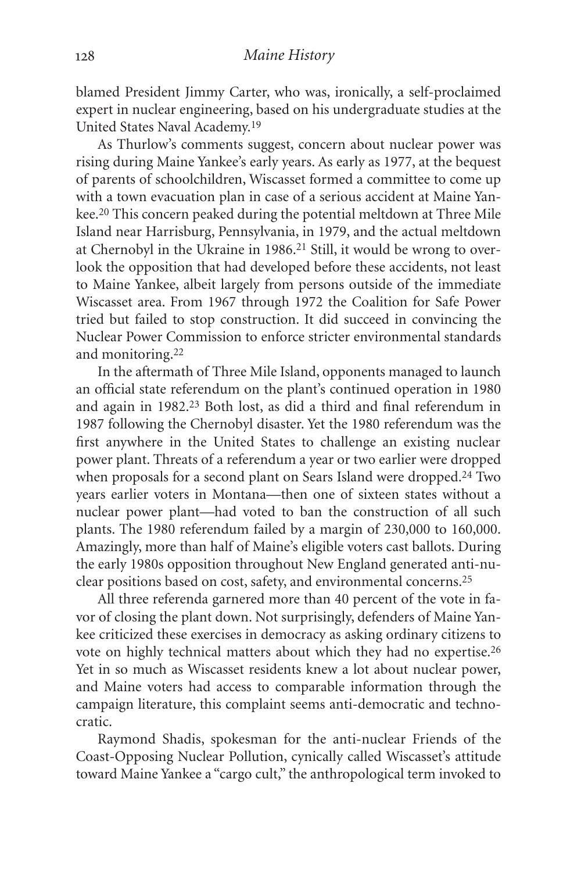blamed President Jimmy Carter, who was, ironically, a self-proclaimed expert in nuclear engineering, based on his undergraduate studies at the United States Naval Academy.19

As Thurlow's comments suggest, concern about nuclear power was rising during Maine Yankee's early years. As early as 1977, at the bequest of parents of schoolchildren, Wiscasset formed a committee to come up with a town evacuation plan in case of a serious accident at Maine Yankee.20 This concern peaked during the potential meltdown at Three Mile Island near Harrisburg, Pennsylvania, in 1979, and the actual meltdown at Chernobyl in the Ukraine in 1986.21 Still, it would be wrong to overlook the opposition that had developed before these accidents, not least to Maine Yankee, albeit largely from persons outside of the immediate Wiscasset area. From 1967 through 1972 the Coalition for Safe Power tried but failed to stop construction. It did succeed in convincing the Nuclear Power Commission to enforce stricter environmental standards and monitoring.22

In the aftermath of Three Mile Island, opponents managed to launch an official state referendum on the plant's continued operation in 1980 and again in 1982.23 Both lost, as did a third and final referendum in 1987 following the Chernobyl disaster. Yet the 1980 referendum was the first anywhere in the United States to challenge an existing nuclear power plant. Threats of a referendum a year or two earlier were dropped when proposals for a second plant on Sears Island were dropped.24 Two years earlier voters in Montana—then one of sixteen states without a nuclear power plant—had voted to ban the construction of all such plants. The 1980 referendum failed by a margin of 230,000 to 160,000. Amazingly, more than half of Maine's eligible voters cast ballots. During the early 1980s opposition throughout New England generated anti-nuclear positions based on cost, safety, and environmental concerns.25

All three referenda garnered more than 40 percent of the vote in favor of closing the plant down. Not surprisingly, defenders of Maine Yankee criticized these exercises in democracy as asking ordinary citizens to vote on highly technical matters about which they had no expertise.26 Yet in so much as Wiscasset residents knew a lot about nuclear power, and Maine voters had access to comparable information through the campaign literature, this complaint seems anti-democratic and technocratic.

Raymond Shadis, spokesman for the anti-nuclear Friends of the Coast-Opposing Nuclear Pollution, cynically called Wiscasset's attitude toward Maine Yankee a "cargo cult," the anthropological term invoked to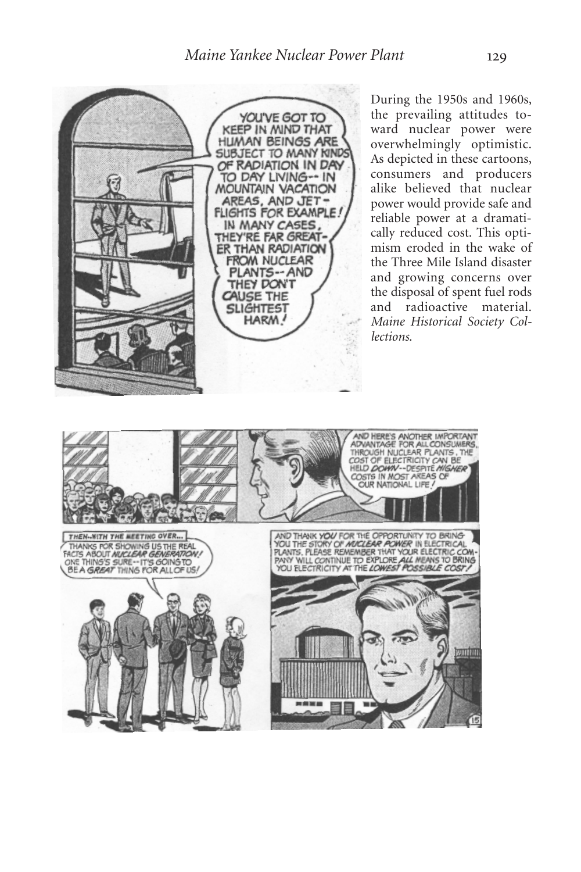

During the 1950s and 1960s, the prevailing attitudes toward nuclear power were overwhelmingly optimistic. As depicted in these cartoons, consumers and producers alike believed that nuclear power would provide safe and reliable power at a dramatically reduced cost. This optimism eroded in the wake of the Three Mile Island disaster and growing concerns over the disposal of spent fuel rods and radioactive material. *Maine Historical Society Collections*.

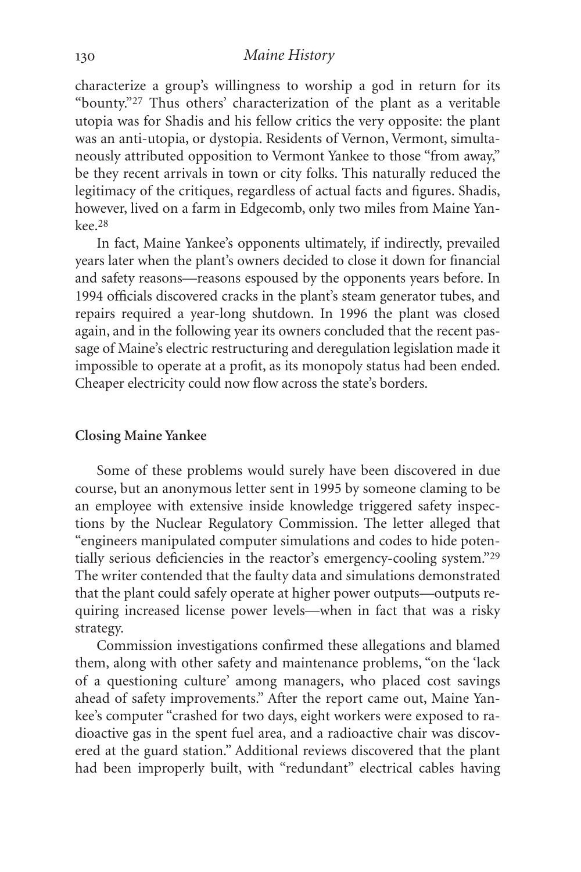characterize a group's willingness to worship a god in return for its "bounty."27 Thus others' characterization of the plant as a veritable utopia was for Shadis and his fellow critics the very opposite: the plant was an anti-utopia, or dystopia. Residents of Vernon, Vermont, simultaneously attributed opposition to Vermont Yankee to those "from away," be they recent arrivals in town or city folks. This naturally reduced the legitimacy of the critiques, regardless of actual facts and figures. Shadis, however, lived on a farm in Edgecomb, only two miles from Maine Yankee.28

In fact, Maine Yankee's opponents ultimately, if indirectly, prevailed years later when the plant's owners decided to close it down for financial and safety reasons—reasons espoused by the opponents years before. In 1994 officials discovered cracks in the plant's steam generator tubes, and repairs required a year-long shutdown. In 1996 the plant was closed again, and in the following year its owners concluded that the recent passage of Maine's electric restructuring and deregulation legislation made it impossible to operate at a profit, as its monopoly status had been ended. Cheaper electricity could now flow across the state's borders.

#### **Closing Maine Yankee**

Some of these problems would surely have been discovered in due course, but an anonymous letter sent in 1995 by someone claming to be an employee with extensive inside knowledge triggered safety inspections by the Nuclear Regulatory Commission. The letter alleged that "engineers manipulated computer simulations and codes to hide potentially serious deficiencies in the reactor's emergency-cooling system."29 The writer contended that the faulty data and simulations demonstrated that the plant could safely operate at higher power outputs—outputs requiring increased license power levels—when in fact that was a risky strategy.

Commission investigations confirmed these allegations and blamed them, along with other safety and maintenance problems, "on the 'lack of a questioning culture' among managers, who placed cost savings ahead of safety improvements." After the report came out, Maine Yankee's computer "crashed for two days, eight workers were exposed to radioactive gas in the spent fuel area, and a radioactive chair was discovered at the guard station." Additional reviews discovered that the plant had been improperly built, with "redundant" electrical cables having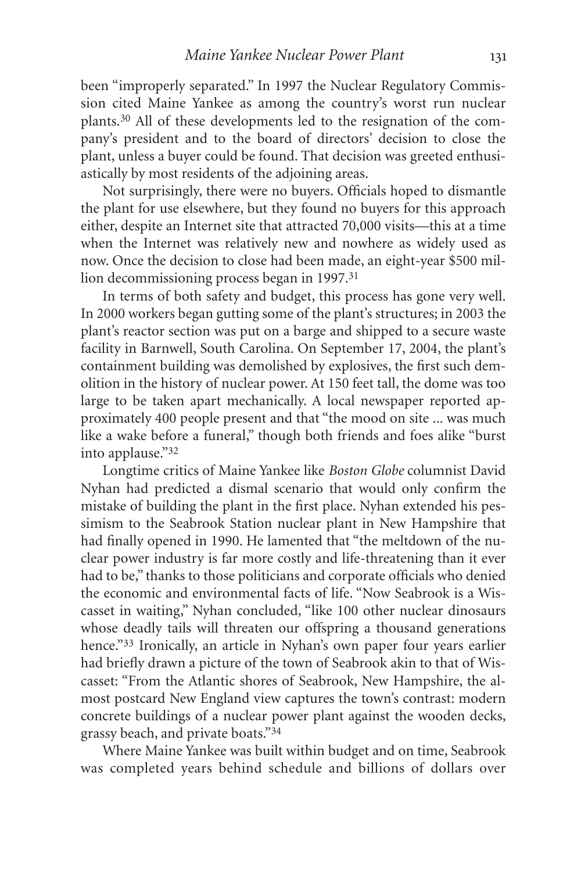been "improperly separated." In 1997 the Nuclear Regulatory Commission cited Maine Yankee as among the country's worst run nuclear plants.30 All of these developments led to the resignation of the company's president and to the board of directors' decision to close the plant, unless a buyer could be found. That decision was greeted enthusiastically by most residents of the adjoining areas.

Not surprisingly, there were no buyers. Officials hoped to dismantle the plant for use elsewhere, but they found no buyers for this approach either, despite an Internet site that attracted 70,000 visits—this at a time when the Internet was relatively new and nowhere as widely used as now. Once the decision to close had been made, an eight-year \$500 million decommissioning process began in 1997.31

In terms of both safety and budget, this process has gone very well. In 2000 workers began gutting some of the plant's structures; in 2003 the plant's reactor section was put on a barge and shipped to a secure waste facility in Barnwell, South Carolina. On September 17, 2004, the plant's containment building was demolished by explosives, the first such demolition in the history of nuclear power. At 150 feet tall, the dome was too large to be taken apart mechanically. A local newspaper reported approximately 400 people present and that "the mood on site ... was much like a wake before a funeral," though both friends and foes alike "burst into applause."32

Longtime critics of Maine Yankee like *Boston Globe* columnist David Nyhan had predicted a dismal scenario that would only confirm the mistake of building the plant in the first place. Nyhan extended his pessimism to the Seabrook Station nuclear plant in New Hampshire that had finally opened in 1990. He lamented that "the meltdown of the nuclear power industry is far more costly and life-threatening than it ever had to be," thanks to those politicians and corporate officials who denied the economic and environmental facts of life. "Now Seabrook is a Wiscasset in waiting," Nyhan concluded, "like 100 other nuclear dinosaurs whose deadly tails will threaten our offspring a thousand generations hence."<sup>33</sup> Ironically, an article in Nyhan's own paper four years earlier had briefly drawn a picture of the town of Seabrook akin to that of Wiscasset: "From the Atlantic shores of Seabrook, New Hampshire, the almost postcard New England view captures the town's contrast: modern concrete buildings of a nuclear power plant against the wooden decks, grassy beach, and private boats."34

Where Maine Yankee was built within budget and on time, Seabrook was completed years behind schedule and billions of dollars over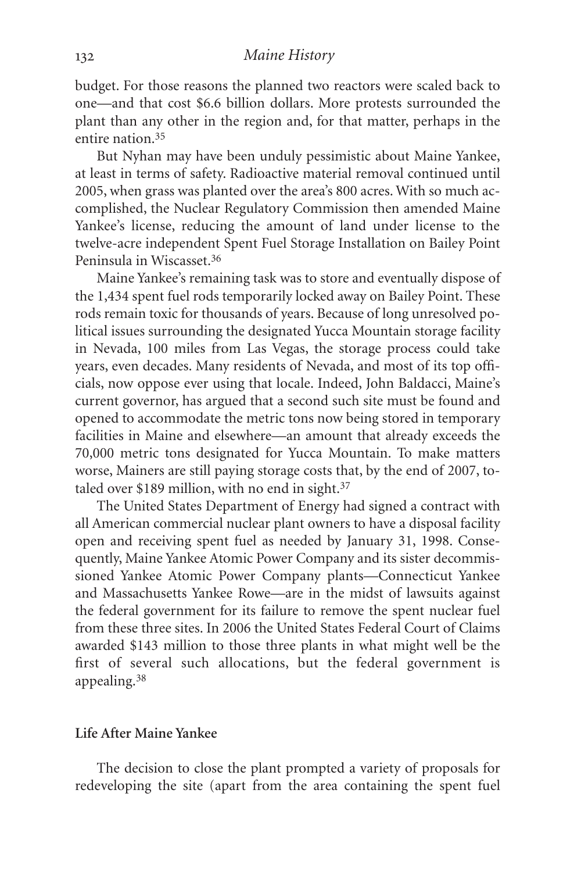budget. For those reasons the planned two reactors were scaled back to one—and that cost \$6.6 billion dollars. More protests surrounded the plant than any other in the region and, for that matter, perhaps in the entire nation.35

But Nyhan may have been unduly pessimistic about Maine Yankee, at least in terms of safety. Radioactive material removal continued until 2005, when grass was planted over the area's 800 acres. With so much accomplished, the Nuclear Regulatory Commission then amended Maine Yankee's license, reducing the amount of land under license to the twelve-acre independent Spent Fuel Storage Installation on Bailey Point Peninsula in Wiscasset.36

Maine Yankee's remaining task was to store and eventually dispose of the 1,434 spent fuel rods temporarily locked away on Bailey Point. These rods remain toxic for thousands of years. Because of long unresolved political issues surrounding the designated Yucca Mountain storage facility in Nevada, 100 miles from Las Vegas, the storage process could take years, even decades. Many residents of Nevada, and most of its top officials, now oppose ever using that locale. Indeed, John Baldacci, Maine's current governor, has argued that a second such site must be found and opened to accommodate the metric tons now being stored in temporary facilities in Maine and elsewhere—an amount that already exceeds the 70,000 metric tons designated for Yucca Mountain. To make matters worse, Mainers are still paying storage costs that, by the end of 2007, totaled over \$189 million, with no end in sight.37

The United States Department of Energy had signed a contract with all American commercial nuclear plant owners to have a disposal facility open and receiving spent fuel as needed by January 31, 1998. Consequently, Maine Yankee Atomic Power Company and its sister decommissioned Yankee Atomic Power Company plants—Connecticut Yankee and Massachusetts Yankee Rowe—are in the midst of lawsuits against the federal government for its failure to remove the spent nuclear fuel from these three sites. In 2006 the United States Federal Court of Claims awarded \$143 million to those three plants in what might well be the first of several such allocations, but the federal government is appealing.38

#### **Life After Maine Yankee**

The decision to close the plant prompted a variety of proposals for redeveloping the site (apart from the area containing the spent fuel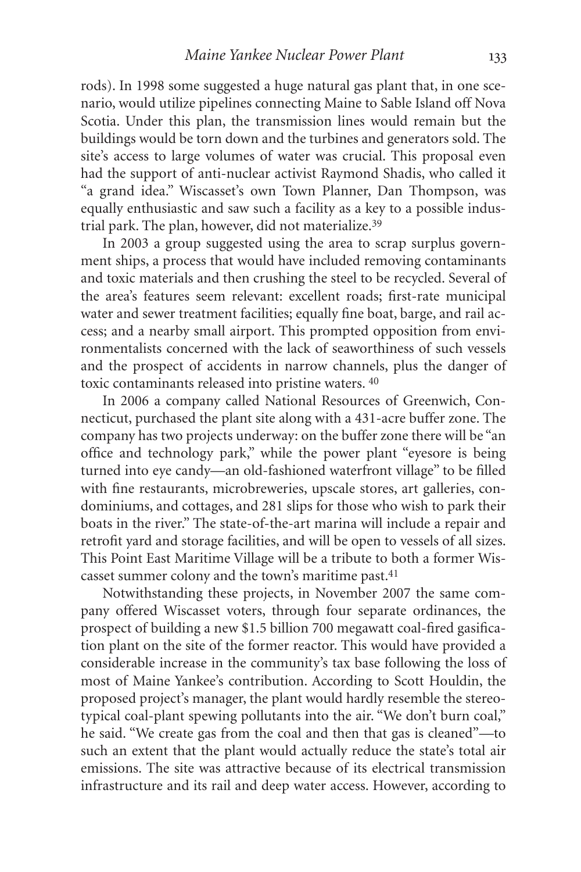rods). In 1998 some suggested a huge natural gas plant that, in one scenario, would utilize pipelines connecting Maine to Sable Island off Nova Scotia. Under this plan, the transmission lines would remain but the buildings would be torn down and the turbines and generators sold. The site's access to large volumes of water was crucial. This proposal even had the support of anti-nuclear activist Raymond Shadis, who called it "a grand idea." Wiscasset's own Town Planner, Dan Thompson, was equally enthusiastic and saw such a facility as a key to a possible industrial park. The plan, however, did not materialize.39

In 2003 a group suggested using the area to scrap surplus government ships, a process that would have included removing contaminants and toxic materials and then crushing the steel to be recycled. Several of the area's features seem relevant: excellent roads; first-rate municipal water and sewer treatment facilities; equally fine boat, barge, and rail access; and a nearby small airport. This prompted opposition from environmentalists concerned with the lack of seaworthiness of such vessels and the prospect of accidents in narrow channels, plus the danger of toxic contaminants released into pristine waters. 40

In 2006 a company called National Resources of Greenwich, Connecticut, purchased the plant site along with a 431-acre buffer zone. The company has two projects underway: on the buffer zone there will be "an office and technology park," while the power plant "eyesore is being turned into eye candy—an old-fashioned waterfront village" to be filled with fine restaurants, microbreweries, upscale stores, art galleries, condominiums, and cottages, and 281 slips for those who wish to park their boats in the river." The state-of-the-art marina will include a repair and retrofit yard and storage facilities, and will be open to vessels of all sizes. This Point East Maritime Village will be a tribute to both a former Wiscasset summer colony and the town's maritime past.41

Notwithstanding these projects, in November 2007 the same company offered Wiscasset voters, through four separate ordinances, the prospect of building a new \$1.5 billion 700 megawatt coal-fired gasification plant on the site of the former reactor. This would have provided a considerable increase in the community's tax base following the loss of most of Maine Yankee's contribution. According to Scott Houldin, the proposed project's manager, the plant would hardly resemble the stereotypical coal-plant spewing pollutants into the air. "We don't burn coal," he said. "We create gas from the coal and then that gas is cleaned"—to such an extent that the plant would actually reduce the state's total air emissions. The site was attractive because of its electrical transmission infrastructure and its rail and deep water access. However, according to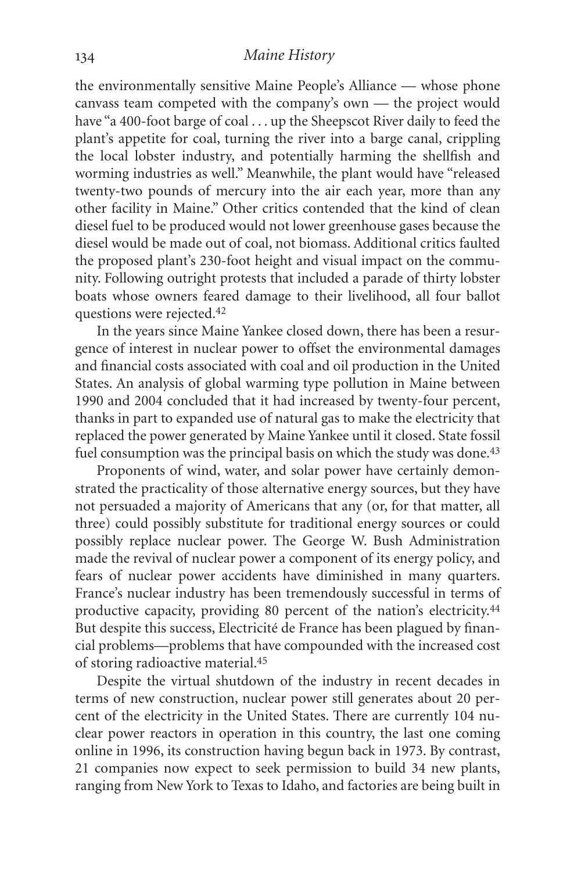#### *Maine History*

the environmentally sensitive Maine People's Alliance — whose phone canvass team competed with the company's own — the project would have "a 400-foot barge of coal . . . up the Sheepscot River daily to feed the plant's appetite for coal, turning the river into a barge canal, crippling the local lobster industry, and potentially harming the shellfish and worming industries as well." Meanwhile, the plant would have "released twenty-two pounds of mercury into the air each year, more than any other facility in Maine." Other critics contended that the kind of clean diesel fuel to be produced would not lower greenhouse gases because the diesel would be made out of coal, not biomass. Additional critics faulted the proposed plant's 230-foot height and visual impact on the community. Following outright protests that included a parade of thirty lobster boats whose owners feared damage to their livelihood, all four ballot questions were rejected.42

In the years since Maine Yankee closed down, there has been a resurgence of interest in nuclear power to offset the environmental damages and financial costs associated with coal and oil production in the United States. An analysis of global warming type pollution in Maine between 1990 and 2004 concluded that it had increased by twenty-four percent, thanks in part to expanded use of natural gas to make the electricity that replaced the power generated by Maine Yankee until it closed. State fossil fuel consumption was the principal basis on which the study was done.<sup>43</sup>

Proponents of wind, water, and solar power have certainly demonstrated the practicality of those alternative energy sources, but they have not persuaded a majority of Americans that any (or, for that matter, all three) could possibly substitute for traditional energy sources or could possibly replace nuclear power. The George W. Bush Administration made the revival of nuclear power a component of its energy policy, and fears of nuclear power accidents have diminished in many quarters. France's nuclear industry has been tremendously successful in terms of productive capacity, providing 80 percent of the nation's electricity.44 But despite this success, Electricité de France has been plagued by financial problems—problems that have compounded with the increased cost of storing radioactive material.45

Despite the virtual shutdown of the industry in recent decades in terms of new construction, nuclear power still generates about 20 percent of the electricity in the United States. There are currently 104 nuclear power reactors in operation in this country, the last one coming online in 1996, its construction having begun back in 1973. By contrast, 21 companies now expect to seek permission to build 34 new plants, ranging from New York to Texas to Idaho, and factories are being built in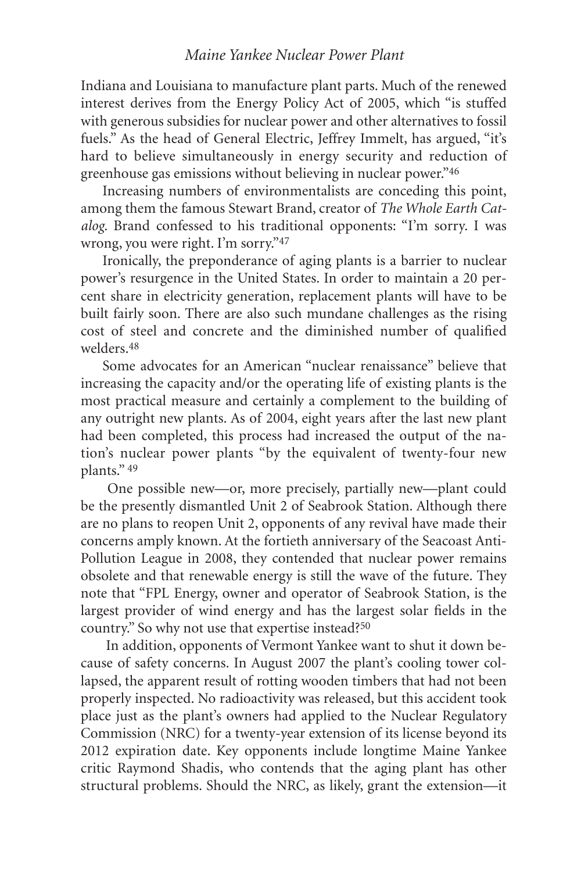Indiana and Louisiana to manufacture plant parts. Much of the renewed interest derives from the Energy Policy Act of 2005, which "is stuffed with generous subsidies for nuclear power and other alternatives to fossil fuels." As the head of General Electric, Jeffrey Immelt, has argued, "it's hard to believe simultaneously in energy security and reduction of greenhouse gas emissions without believing in nuclear power."46

Increasing numbers of environmentalists are conceding this point, among them the famous Stewart Brand, creator of *The Whole Earth Catalog*. Brand confessed to his traditional opponents: "I'm sorry. I was wrong, you were right. I'm sorry."47

Ironically, the preponderance of aging plants is a barrier to nuclear power's resurgence in the United States. In order to maintain a 20 percent share in electricity generation, replacement plants will have to be built fairly soon. There are also such mundane challenges as the rising cost of steel and concrete and the diminished number of qualified welders.48

Some advocates for an American "nuclear renaissance" believe that increasing the capacity and/or the operating life of existing plants is the most practical measure and certainly a complement to the building of any outright new plants. As of 2004, eight years after the last new plant had been completed, this process had increased the output of the nation's nuclear power plants "by the equivalent of twenty-four new plants." 49

One possible new—or, more precisely, partially new—plant could be the presently dismantled Unit 2 of Seabrook Station. Although there are no plans to reopen Unit 2, opponents of any revival have made their concerns amply known. At the fortieth anniversary of the Seacoast Anti-Pollution League in 2008, they contended that nuclear power remains obsolete and that renewable energy is still the wave of the future. They note that "FPL Energy, owner and operator of Seabrook Station, is the largest provider of wind energy and has the largest solar fields in the country." So why not use that expertise instead?50

In addition, opponents of Vermont Yankee want to shut it down because of safety concerns. In August 2007 the plant's cooling tower collapsed, the apparent result of rotting wooden timbers that had not been properly inspected. No radioactivity was released, but this accident took place just as the plant's owners had applied to the Nuclear Regulatory Commission (NRC) for a twenty-year extension of its license beyond its 2012 expiration date. Key opponents include longtime Maine Yankee critic Raymond Shadis, who contends that the aging plant has other structural problems. Should the NRC, as likely, grant the extension—it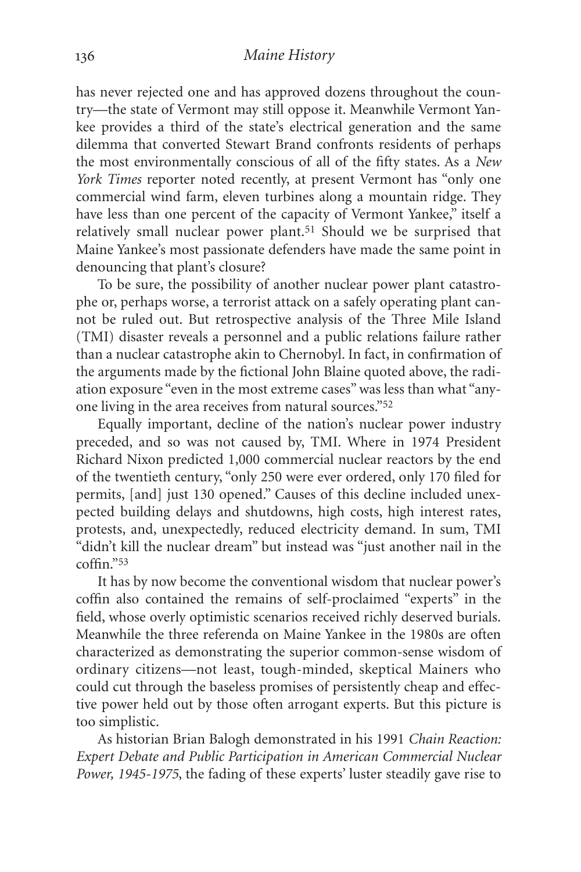has never rejected one and has approved dozens throughout the country—the state of Vermont may still oppose it. Meanwhile Vermont Yankee provides a third of the state's electrical generation and the same dilemma that converted Stewart Brand confronts residents of perhaps the most environmentally conscious of all of the fifty states. As a *New York Times* reporter noted recently, at present Vermont has "only one commercial wind farm, eleven turbines along a mountain ridge. They have less than one percent of the capacity of Vermont Yankee," itself a relatively small nuclear power plant.<sup>51</sup> Should we be surprised that Maine Yankee's most passionate defenders have made the same point in denouncing that plant's closure?

To be sure, the possibility of another nuclear power plant catastrophe or, perhaps worse, a terrorist attack on a safely operating plant cannot be ruled out. But retrospective analysis of the Three Mile Island (TMI) disaster reveals a personnel and a public relations failure rather than a nuclear catastrophe akin to Chernobyl. In fact, in confirmation of the arguments made by the fictional John Blaine quoted above, the radiation exposure "even in the most extreme cases" was less than what "anyone living in the area receives from natural sources."52

Equally important, decline of the nation's nuclear power industry preceded, and so was not caused by, TMI. Where in 1974 President Richard Nixon predicted 1,000 commercial nuclear reactors by the end of the twentieth century, "only 250 were ever ordered, only 170 filed for permits, [and] just 130 opened." Causes of this decline included unexpected building delays and shutdowns, high costs, high interest rates, protests, and, unexpectedly, reduced electricity demand. In sum, TMI "didn't kill the nuclear dream" but instead was "just another nail in the coffin."53

It has by now become the conventional wisdom that nuclear power's coffin also contained the remains of self-proclaimed "experts" in the field, whose overly optimistic scenarios received richly deserved burials. Meanwhile the three referenda on Maine Yankee in the 1980s are often characterized as demonstrating the superior common-sense wisdom of ordinary citizens—not least, tough-minded, skeptical Mainers who could cut through the baseless promises of persistently cheap and effective power held out by those often arrogant experts. But this picture is too simplistic.

As historian Brian Balogh demonstrated in his 1991 *Chain Reaction: Expert Debate and Public Participation in American Commercial Nuclear Power, 1945-1975*, the fading of these experts' luster steadily gave rise to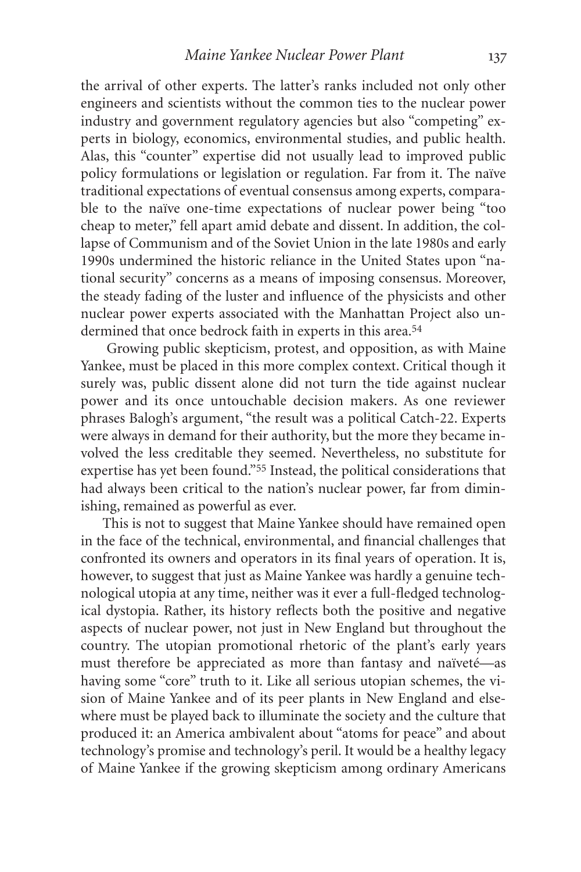the arrival of other experts. The latter's ranks included not only other engineers and scientists without the common ties to the nuclear power industry and government regulatory agencies but also "competing" experts in biology, economics, environmental studies, and public health. Alas, this "counter" expertise did not usually lead to improved public policy formulations or legislation or regulation. Far from it. The naïve traditional expectations of eventual consensus among experts, comparable to the naïve one-time expectations of nuclear power being "too cheap to meter," fell apart amid debate and dissent. In addition, the collapse of Communism and of the Soviet Union in the late 1980s and early 1990s undermined the historic reliance in the United States upon "national security" concerns as a means of imposing consensus. Moreover, the steady fading of the luster and influence of the physicists and other nuclear power experts associated with the Manhattan Project also undermined that once bedrock faith in experts in this area.<sup>54</sup>

Growing public skepticism, protest, and opposition, as with Maine Yankee, must be placed in this more complex context. Critical though it surely was, public dissent alone did not turn the tide against nuclear power and its once untouchable decision makers. As one reviewer phrases Balogh's argument, "the result was a political Catch-22. Experts were always in demand for their authority, but the more they became involved the less creditable they seemed. Nevertheless, no substitute for expertise has yet been found."55 Instead, the political considerations that had always been critical to the nation's nuclear power, far from diminishing, remained as powerful as ever.

This is not to suggest that Maine Yankee should have remained open in the face of the technical, environmental, and financial challenges that confronted its owners and operators in its final years of operation. It is, however, to suggest that just as Maine Yankee was hardly a genuine technological utopia at any time, neither was it ever a full-fledged technological dystopia. Rather, its history reflects both the positive and negative aspects of nuclear power, not just in New England but throughout the country. The utopian promotional rhetoric of the plant's early years must therefore be appreciated as more than fantasy and naïveté—as having some "core" truth to it. Like all serious utopian schemes, the vision of Maine Yankee and of its peer plants in New England and elsewhere must be played back to illuminate the society and the culture that produced it: an America ambivalent about "atoms for peace" and about technology's promise and technology's peril. It would be a healthy legacy of Maine Yankee if the growing skepticism among ordinary Americans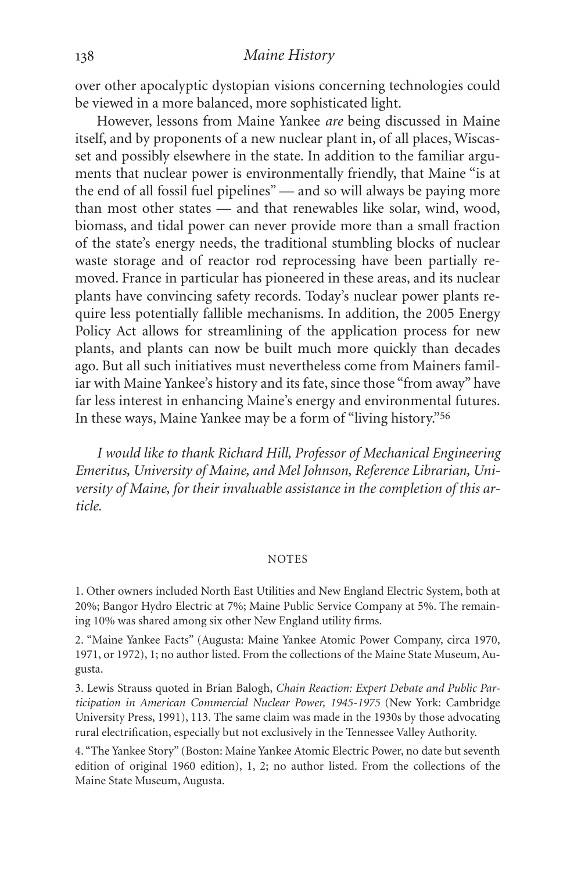over other apocalyptic dystopian visions concerning technologies could be viewed in a more balanced, more sophisticated light.

However, lessons from Maine Yankee *are* being discussed in Maine itself, and by proponents of a new nuclear plant in, of all places, Wiscasset and possibly elsewhere in the state. In addition to the familiar arguments that nuclear power is environmentally friendly, that Maine "is at the end of all fossil fuel pipelines" — and so will always be paying more than most other states — and that renewables like solar, wind, wood, biomass, and tidal power can never provide more than a small fraction of the state's energy needs, the traditional stumbling blocks of nuclear waste storage and of reactor rod reprocessing have been partially removed. France in particular has pioneered in these areas, and its nuclear plants have convincing safety records. Today's nuclear power plants require less potentially fallible mechanisms. In addition, the 2005 Energy Policy Act allows for streamlining of the application process for new plants, and plants can now be built much more quickly than decades ago. But all such initiatives must nevertheless come from Mainers familiar with Maine Yankee's history and its fate, since those "from away" have far less interest in enhancing Maine's energy and environmental futures. In these ways, Maine Yankee may be a form of "living history."56

*I would like to thank Richard Hill, Professor of Mechanical Engineering Emeritus, University of Maine, and Mel Johnson, Reference Librarian, University of Maine, for their invaluable assistance in the completion of this article.*

#### **NOTES**

1. Other owners included North East Utilities and New England Electric System, both at 20%; Bangor Hydro Electric at 7%; Maine Public Service Company at 5%. The remaining 10% was shared among six other New England utility firms.

2. "Maine Yankee Facts" (Augusta: Maine Yankee Atomic Power Company, circa 1970, 1971, or 1972), 1; no author listed. From the collections of the Maine State Museum, Augusta.

3. Lewis Strauss quoted in Brian Balogh, *Chain Reaction: Expert Debate and Public Participation in American Commercial Nuclear Power, 1945-1975* (New York: Cambridge University Press, 1991), 113. The same claim was made in the 1930s by those advocating rural electrification, especially but not exclusively in the Tennessee Valley Authority.

4. "The Yankee Story" (Boston: Maine Yankee Atomic Electric Power, no date but seventh edition of original 1960 edition), 1, 2; no author listed. From the collections of the Maine State Museum, Augusta.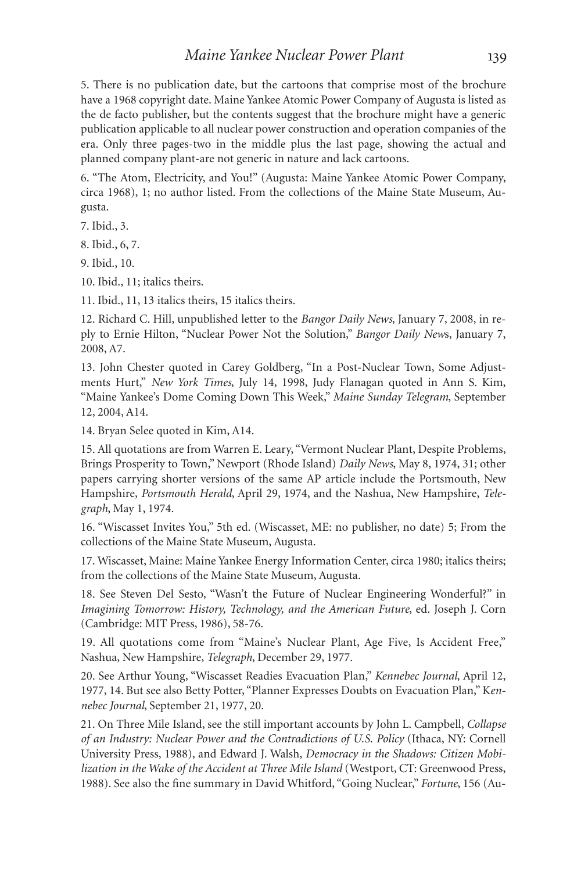5. There is no publication date, but the cartoons that comprise most of the brochure have a 1968 copyright date. Maine Yankee Atomic Power Company of Augusta is listed as the de facto publisher, but the contents suggest that the brochure might have a generic publication applicable to all nuclear power construction and operation companies of the era. Only three pages-two in the middle plus the last page, showing the actual and planned company plant-are not generic in nature and lack cartoons.

6. "The Atom, Electricity, and You!" (Augusta: Maine Yankee Atomic Power Company, circa 1968), 1; no author listed. From the collections of the Maine State Museum, Augusta.

7. Ibid., 3.

8. Ibid., 6, 7.

9. Ibid., 10.

10. Ibid., 11; italics theirs.

11. Ibid., 11, 13 italics theirs, 15 italics theirs.

12. Richard C. Hill, unpublished letter to the *Bangor Daily News*, January 7, 2008, in reply to Ernie Hilton, "Nuclear Power Not the Solution," *Bangor Daily New*s, January 7, 2008, A7.

13. John Chester quoted in Carey Goldberg, "In a Post-Nuclear Town, Some Adjustments Hurt," *New York Times*, July 14, 1998, Judy Flanagan quoted in Ann S. Kim, "Maine Yankee's Dome Coming Down This Week," *Maine Sunday Telegram*, September 12, 2004, A14.

14. Bryan Selee quoted in Kim, A14.

15. All quotations are from Warren E. Leary, "Vermont Nuclear Plant, Despite Problems, Brings Prosperity to Town," Newport (Rhode Island) *Daily News*, May 8, 1974, 31; other papers carrying shorter versions of the same AP article include the Portsmouth, New Hampshire, *Portsmouth Herald*, April 29, 1974, and the Nashua, New Hampshire, *Telegraph*, May 1, 1974.

16. "Wiscasset Invites You," 5th ed. (Wiscasset, ME: no publisher, no date) 5; From the collections of the Maine State Museum, Augusta.

17. Wiscasset, Maine: Maine Yankee Energy Information Center, circa 1980; italics theirs; from the collections of the Maine State Museum, Augusta.

18. See Steven Del Sesto, "Wasn't the Future of Nuclear Engineering Wonderful?" in *Imagining Tomorrow: History, Technology, and the American Future*, ed. Joseph J. Corn (Cambridge: MIT Press, 1986), 58-76.

19. All quotations come from "Maine's Nuclear Plant, Age Five, Is Accident Free," Nashua, New Hampshire, *Telegraph*, December 29, 1977.

20. See Arthur Young, "Wiscasset Readies Evacuation Plan," *Kennebec Journal*, April 12, 1977, 14. But see also Betty Potter, "Planner Expresses Doubts on Evacuation Plan," K*ennebec Journal*, September 21, 1977, 20.

21. On Three Mile Island, see the still important accounts by John L. Campbell, *Collapse of an Industry: Nuclear Power and the Contradictions of U.S. Policy* (Ithaca, NY: Cornell University Press, 1988), and Edward J. Walsh, *Democracy in the Shadows: Citizen Mobilization in the Wake of the Accident at Three Mile Island* (Westport, CT: Greenwood Press, 1988). See also the fine summary in David Whitford, "Going Nuclear," *Fortune*, 156 (Au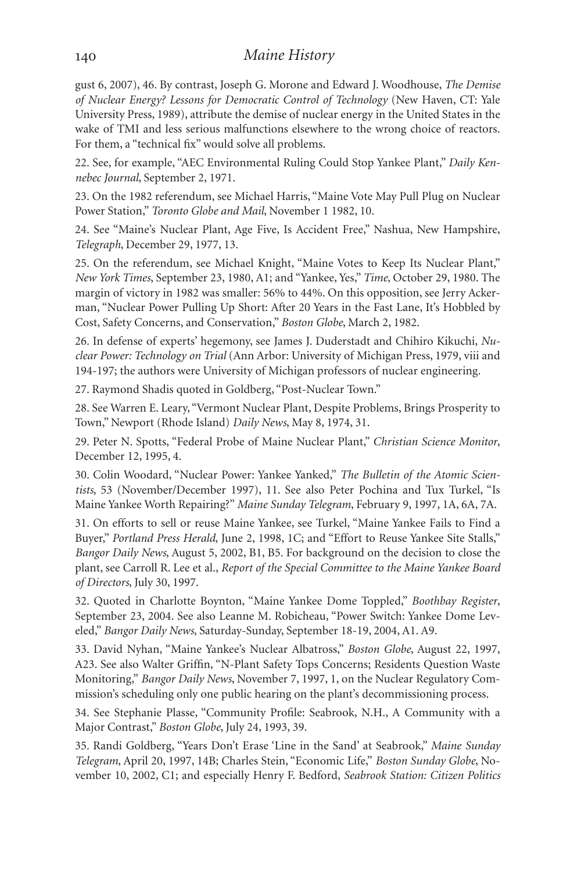gust 6, 2007), 46. By contrast, Joseph G. Morone and Edward J. Woodhouse, *The Demise of Nuclear Energy? Lessons for Democratic Control of Technology* (New Haven, CT: Yale University Press, 1989), attribute the demise of nuclear energy in the United States in the wake of TMI and less serious malfunctions elsewhere to the wrong choice of reactors. For them, a "technical fix" would solve all problems.

22. See, for example, "AEC Environmental Ruling Could Stop Yankee Plant," *Daily Kennebec Journal*, September 2, 1971.

23. On the 1982 referendum, see Michael Harris, "Maine Vote May Pull Plug on Nuclear Power Station," *Toronto Globe and Mail*, November 1 1982, 10.

24. See "Maine's Nuclear Plant, Age Five, Is Accident Free," Nashua, New Hampshire, *Telegraph*, December 29, 1977, 13.

25. On the referendum, see Michael Knight, "Maine Votes to Keep Its Nuclear Plant," *New York Times*, September 23, 1980, A1; and "Yankee, Yes," *Time*, October 29, 1980. The margin of victory in 1982 was smaller: 56% to 44%. On this opposition, see Jerry Ackerman, "Nuclear Power Pulling Up Short: After 20 Years in the Fast Lane, It's Hobbled by Cost, Safety Concerns, and Conservation," *Boston Globe*, March 2, 1982.

26. In defense of experts' hegemony, see James J. Duderstadt and Chihiro Kikuchi, *Nuclear Power: Technology on Trial* (Ann Arbor: University of Michigan Press, 1979, viii and 194-197; the authors were University of Michigan professors of nuclear engineering.

27. Raymond Shadis quoted in Goldberg, "Post-Nuclear Town."

28. See Warren E. Leary, "Vermont Nuclear Plant, Despite Problems, Brings Prosperity to Town," Newport (Rhode Island) *Daily News*, May 8, 1974, 31.

29. Peter N. Spotts, "Federal Probe of Maine Nuclear Plant," *Christian Science Monitor*, December 12, 1995, 4.

30. Colin Woodard, "Nuclear Power: Yankee Yanked," *The Bulletin of the Atomic Scientists*, 53 (November/December 1997), 11. See also Peter Pochina and Tux Turkel, "Is Maine Yankee Worth Repairing?" *Maine Sunday Telegram*, February 9, 1997, 1A, 6A, 7A.

31. On efforts to sell or reuse Maine Yankee, see Turkel, "Maine Yankee Fails to Find a Buyer," *Portland Press Herald*, June 2, 1998, 1C; and "Effort to Reuse Yankee Site Stalls," *Bangor Daily News*, August 5, 2002, B1, B5. For background on the decision to close the plant, see Carroll R. Lee et al., *Report of the Special Committee to the Maine Yankee Board of Directors*, July 30, 1997.

32. Quoted in Charlotte Boynton, "Maine Yankee Dome Toppled," *Boothbay Register*, September 23, 2004. See also Leanne M. Robicheau, "Power Switch: Yankee Dome Leveled," *Bangor Daily News*, Saturday-Sunday, September 18-19, 2004, A1. A9.

33. David Nyhan, "Maine Yankee's Nuclear Albatross," *Boston Globe*, August 22, 1997, A23. See also Walter Griffin, "N-Plant Safety Tops Concerns; Residents Question Waste Monitoring," *Bangor Daily News*, November 7, 1997, 1, on the Nuclear Regulatory Commission's scheduling only one public hearing on the plant's decommissioning process.

34. See Stephanie Plasse, "Community Profile: Seabrook, N.H., A Community with a Major Contrast," *Boston Globe*, July 24, 1993, 39.

35. Randi Goldberg, "Years Don't Erase 'Line in the Sand' at Seabrook," *Maine Sunday Telegram*, April 20, 1997, 14B; Charles Stein, "Economic Life," *Boston Sunday Globe*, November 10, 2002, C1; and especially Henry F. Bedford, *Seabrook Station: Citizen Politics*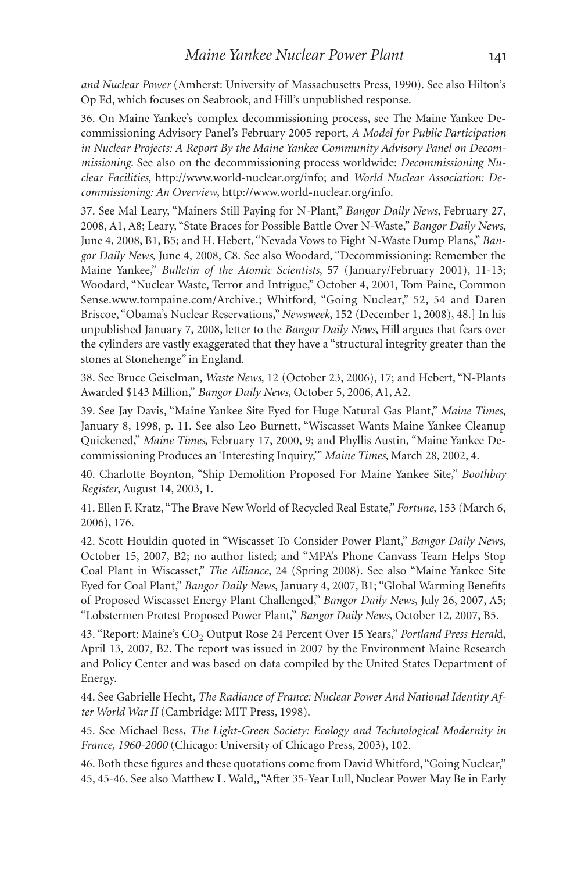*and Nuclear Power* (Amherst: University of Massachusetts Press, 1990). See also Hilton's Op Ed, which focuses on Seabrook, and Hill's unpublished response.

36. On Maine Yankee's complex decommissioning process, see The Maine Yankee Decommissioning Advisory Panel's February 2005 report, *A Model for Public Participation in Nuclear Projects: A Report By the Maine Yankee Community Advisory Panel on Decommissioning*. See also on the decommissioning process worldwide: *Decommissioning Nuclear Facilities*, http://www.world-nuclear.org/info; and *World Nuclear Association: Decommissioning: An Overview*, http://www.world-nuclear.org/info.

37. See Mal Leary, "Mainers Still Paying for N-Plant," *Bangor Daily News*, February 27, 2008, A1, A8; Leary, "State Braces for Possible Battle Over N-Waste," *Bangor Daily News*, June 4, 2008, B1, B5; and H. Hebert, "Nevada Vows to Fight N-Waste Dump Plans," *Bangor Daily News*, June 4, 2008, C8. See also Woodard, "Decommissioning: Remember the Maine Yankee," *Bulletin of the Atomic Scientists*, 57 (January/February 2001), 11-13; Woodard, "Nuclear Waste, Terror and Intrigue," October 4, 2001, Tom Paine, Common Sense.www.tompaine.com/Archive.; Whitford, "Going Nuclear," 52, 54 and Daren Briscoe, "Obama's Nuclear Reservations," *Newsweek*, 152 (December 1, 2008), 48.] In his unpublished January 7, 2008, letter to the *Bangor Daily News*, Hill argues that fears over the cylinders are vastly exaggerated that they have a "structural integrity greater than the stones at Stonehenge" in England.

38. See Bruce Geiselman, *Waste News*, 12 (October 23, 2006), 17; and Hebert, "N-Plants Awarded \$143 Million," *Bangor Daily News*, October 5, 2006, A1, A2.

39. See Jay Davis, "Maine Yankee Site Eyed for Huge Natural Gas Plant," *Maine Times*, January 8, 1998, p. 11. See also Leo Burnett, "Wiscasset Wants Maine Yankee Cleanup Quickened," *Maine Times*, February 17, 2000, 9; and Phyllis Austin, "Maine Yankee Decommissioning Produces an 'Interesting Inquiry,'" *Maine Times*, March 28, 2002, 4.

40. Charlotte Boynton, "Ship Demolition Proposed For Maine Yankee Site," *Boothbay Register*, August 14, 2003, 1.

41. Ellen F. Kratz, "The Brave New World of Recycled Real Estate," *Fortune*, 153 (March 6, 2006), 176.

42. Scott Houldin quoted in "Wiscasset To Consider Power Plant," *Bangor Daily News*, October 15, 2007, B2; no author listed; and "MPA's Phone Canvass Team Helps Stop Coal Plant in Wiscasset," *The Alliance*, 24 (Spring 2008). See also "Maine Yankee Site Eyed for Coal Plant," *Bangor Daily News*, January 4, 2007, B1; "Global Warming Benefits of Proposed Wiscasset Energy Plant Challenged," *Bangor Daily News*, July 26, 2007, A5; "Lobstermen Protest Proposed Power Plant," *Bangor Daily News*, October 12, 2007, B5.

43. "Report: Maine's CO<sub>2</sub> Output Rose 24 Percent Over 15 Years," Portland Press Herald, April 13, 2007, B2. The report was issued in 2007 by the Environment Maine Research and Policy Center and was based on data compiled by the United States Department of Energy.

44. See Gabrielle Hecht, *The Radiance of France: Nuclear Power And National Identity After World War II* (Cambridge: MIT Press, 1998).

45. See Michael Bess, *The Light-Green Society: Ecology and Technological Modernity in France, 1960-2000* (Chicago: University of Chicago Press, 2003), 102.

46. Both these figures and these quotations come from David Whitford, "Going Nuclear," 45, 45-46. See also Matthew L. Wald,, "After 35-Year Lull, Nuclear Power May Be in Early